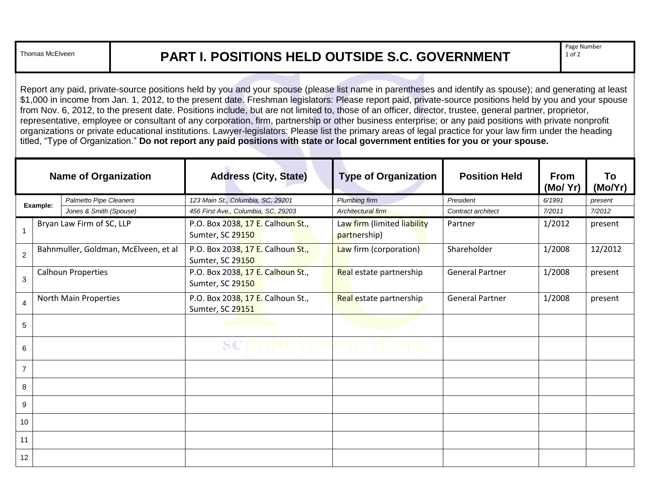## Thomas McElveen **PART I. POSITIONS HELD OUTSIDE S.C. GOVERNMENT**

Page Number 1 of 2

Report any paid, private-source positions held by you and your spouse (please list name in parentheses and identify as spouse); and generating at least \$1,000 in income from Jan. 1, 2012, to the present date. Freshman legislators: Please report paid, private-source positions held by you and your spouse from Nov. 6, 2012, to the present date. Positions include, but are not limited to, those of an officer, director, trustee, general partner, proprietor, representative, employee or consultant of any corporation, firm, partnership or other business enterprise; or any paid positions with private nonprofit organizations or private educational institutions. Lawyer-legislators: Please list the primary areas of legal practice for your law firm under the heading titled, "Type of Organization." **Do not report any paid positions with state or local government entities for you or your spouse.**

| <b>Name of Organization</b> |                           |                                      | <b>Address (City, State)</b>                          | <b>Type of Organization</b>                 | <b>Position Held</b>   | <b>From</b><br>(Mo/Yr) | To<br>(Mo/Yr) |
|-----------------------------|---------------------------|--------------------------------------|-------------------------------------------------------|---------------------------------------------|------------------------|------------------------|---------------|
| Example:                    |                           | Palmetto Pipe Cleaners               | 123 Main St., Columbia, SC, 29201                     | Plumbing firm                               | President              | 6/1991                 | present       |
|                             |                           | Jones & Smith (Spouse)               | 456 First Ave., Columbia, SC, 29203                   | Architectural firm                          | Contract architect     | 7/2011                 | 7/2012        |
| 1                           |                           | Bryan Law Firm of SC, LLP            | P.O. Box 2038, 17 E. Calhoun St.,<br>Sumter, SC 29150 | Law firm (limited liability<br>partnership) | Partner                | 1/2012                 | present       |
| $\sqrt{2}$                  |                           | Bahnmuller, Goldman, McElveen, et al | P.O. Box 2038, 17 E. Calhoun St.,<br>Sumter, SC 29150 | Law firm (corporation)                      | Shareholder            | 1/2008                 | 12/2012       |
| $\mathbf{3}$                | <b>Calhoun Properties</b> |                                      | P.O. Box 2038, 17 E. Calhoun St.,<br>Sumter, SC 29150 | Real estate partnership                     | <b>General Partner</b> | 1/2008                 | present       |
| $\overline{4}$              | North Main Properties     |                                      | P.O. Box 2038, 17 E. Calhoun St.,<br>Sumter, SC 29151 | Real estate partnership                     | <b>General Partner</b> | 1/2008                 | present       |
| 5                           |                           |                                      | and the control of the control of                     |                                             |                        |                        |               |
| 6                           |                           |                                      | SCI<br>1 O.V                                          |                                             |                        |                        |               |
| $\overline{7}$              |                           |                                      |                                                       |                                             |                        |                        |               |
| 8                           |                           |                                      |                                                       |                                             |                        |                        |               |
| 9                           |                           |                                      |                                                       |                                             |                        |                        |               |
| 10                          |                           |                                      |                                                       |                                             |                        |                        |               |
| 11                          |                           |                                      |                                                       |                                             |                        |                        |               |
| 12                          |                           |                                      |                                                       |                                             |                        |                        |               |